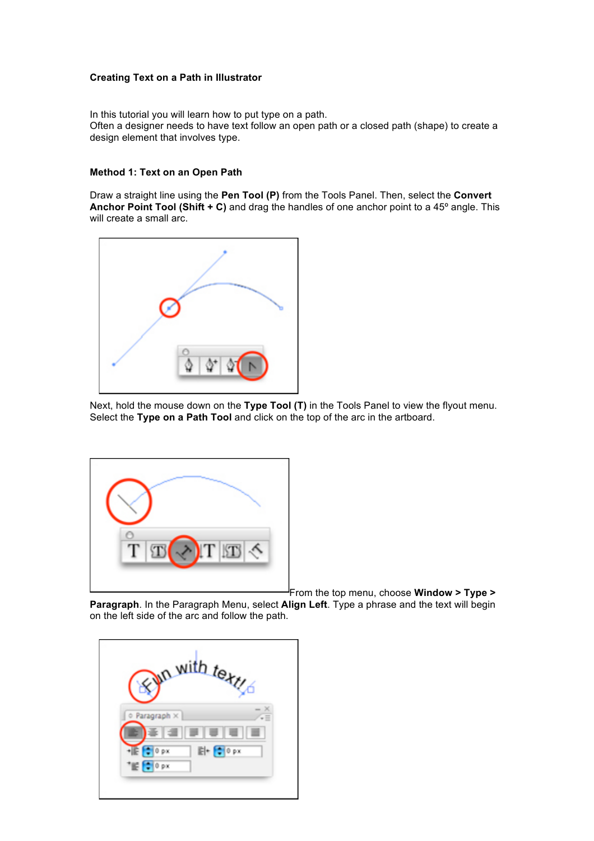## **Creating Text on a Path in Illustrator**

In this tutorial you will learn how to put type on a path. Often a designer needs to have text follow an open path or a closed path (shape) to create a design element that involves type.

## **Method 1: Text on an Open Path**

Draw a straight line using the **Pen Tool (P)** from the Tools Panel. Then, select the **Convert Anchor Point Tool (Shift + C)** and drag the handles of one anchor point to a 45º angle. This will create a small arc.



Next, hold the mouse down on the **Type Tool (T)** in the Tools Panel to view the flyout menu. Select the **Type on a Path Tool** and click on the top of the arc in the artboard.



From the top menu, choose **Window > Type >** 

**Paragraph**. In the Paragraph Menu, select **Align Left**. Type a phrase and the text will begin on the left side of the arc and follow the path.

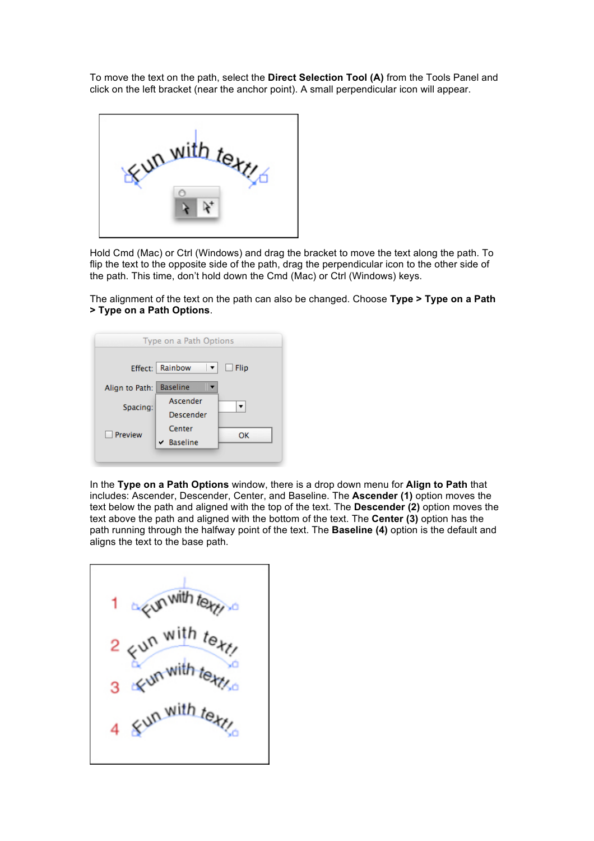To move the text on the path, select the **Direct Selection Tool (A)** from the Tools Panel and click on the left bracket (near the anchor point). A small perpendicular icon will appear.



Hold Cmd (Mac) or Ctrl (Windows) and drag the bracket to move the text along the path. To flip the text to the opposite side of the path, drag the perpendicular icon to the other side of the path. This time, don't hold down the Cmd (Mac) or Ctrl (Windows) keys.

The alignment of the text on the path can also be changed. Choose **Type > Type on a Path > Type on a Path Options**.

| Type on a Path Options    |      |
|---------------------------|------|
| Rainbow                   | Flip |
| <b>Baseline</b>           |      |
| Ascender<br>Descender     |      |
| Center<br>$\vee$ Baseline | OK   |
|                           |      |

In the **Type on a Path Options** window, there is a drop down menu for **Align to Path** that includes: Ascender, Descender, Center, and Baseline. The **Ascender (1)** option moves the text below the path and aligned with the top of the text. The **Descender (2)** option moves the text above the path and aligned with the bottom of the text. The **Center (3)** option has the path running through the halfway point of the text. The **Baseline (4)** option is the default and aligns the text to the base path.